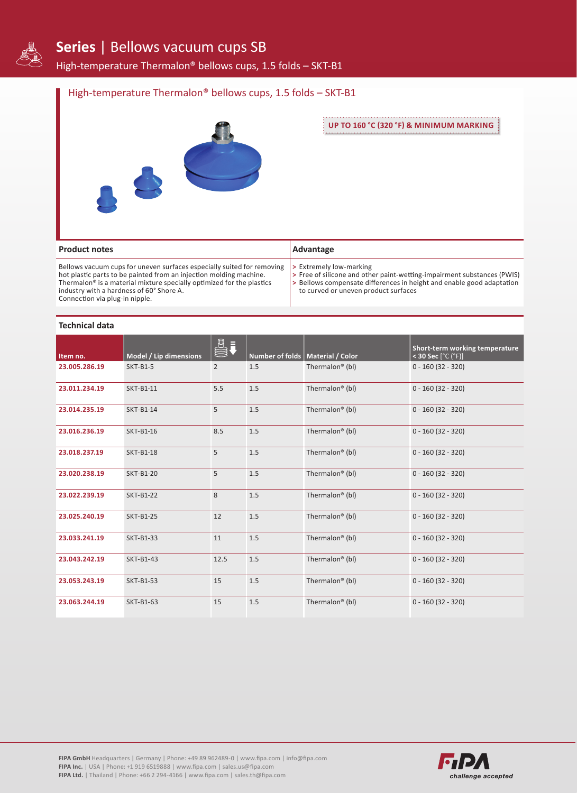

# **Series** | Bellows vacuum cups SB

High-temperature Thermalon® bellows cups, 1.5 folds – SKT-B1

### High-temperature Thermalon® bellows cups, 1.5 folds – SKT-B1



**UP TO 160 °C (320 °F) & MINIMUM MARKING**

| <b>Product notes</b>                                                                                                                                                                                                                                                                                            | Advantage                                                                                                                                                                                                                          |
|-----------------------------------------------------------------------------------------------------------------------------------------------------------------------------------------------------------------------------------------------------------------------------------------------------------------|------------------------------------------------------------------------------------------------------------------------------------------------------------------------------------------------------------------------------------|
| Bellows vacuum cups for uneven surfaces especially suited for removing<br>hot plastic parts to be painted from an injection molding machine.<br>Thermalon <sup>®</sup> is a material mixture specially optimized for the plastics<br>industry with a hardness of 60° Shore A.<br>Connection via plug-in nipple. | $\triangleright$ Extremely low-marking<br>> Free of silicone and other paint-wetting-impairment substances (PWIS)<br>> Bellows compensate differences in height and enable good adaptation<br>to curved or uneven product surfaces |

#### **Technical data**

| Item no.      | Model / Lip dimensions | EU.            |     | Number of folds   Material / Color | Short-term working temperature<br>< 30 Sec $[°C (°F)]$ |
|---------------|------------------------|----------------|-----|------------------------------------|--------------------------------------------------------|
| 23.005.286.19 | <b>SKT-B1-5</b>        | $\overline{2}$ | 1.5 | Thermalon <sup>®</sup> (bl)        | $0 - 160(32 - 320)$                                    |
| 23.011.234.19 | SKT-B1-11              | 5.5            | 1.5 | Thermalon <sup>®</sup> (bl)        | $0 - 160(32 - 320)$                                    |
| 23.014.235.19 | SKT-B1-14              | 5              | 1.5 | Thermalon <sup>®</sup> (bl)        | $0 - 160(32 - 320)$                                    |
| 23.016.236.19 | SKT-B1-16              | 8.5            | 1.5 | Thermalon <sup>®</sup> (bl)        | $0 - 160(32 - 320)$                                    |
| 23.018.237.19 | <b>SKT-B1-18</b>       | 5              | 1.5 | Thermalon <sup>®</sup> (bl)        | $0 - 160(32 - 320)$                                    |
| 23.020.238.19 | <b>SKT-B1-20</b>       | 5              | 1.5 | Thermalon <sup>®</sup> (bl)        | $0 - 160(32 - 320)$                                    |
| 23.022.239.19 | <b>SKT-B1-22</b>       | 8              | 1.5 | Thermalon <sup>®</sup> (bl)        | $0 - 160(32 - 320)$                                    |
| 23.025.240.19 | <b>SKT-B1-25</b>       | 12             | 1.5 | Thermalon <sup>®</sup> (bl)        | $0 - 160(32 - 320)$                                    |
| 23.033.241.19 | SKT-B1-33              | 11             | 1.5 | Thermalon <sup>®</sup> (bl)        | $0 - 160(32 - 320)$                                    |
| 23.043.242.19 | SKT-B1-43              | 12.5           | 1.5 | Thermalon <sup>®</sup> (bl)        | $0 - 160(32 - 320)$                                    |
| 23.053.243.19 | <b>SKT-B1-53</b>       | 15             | 1.5 | Thermalon <sup>®</sup> (bl)        | $0 - 160(32 - 320)$                                    |
| 23.063.244.19 | SKT-B1-63              | 15             | 1.5 | Thermalon <sup>®</sup> (bl)        | $0 - 160(32 - 320)$                                    |